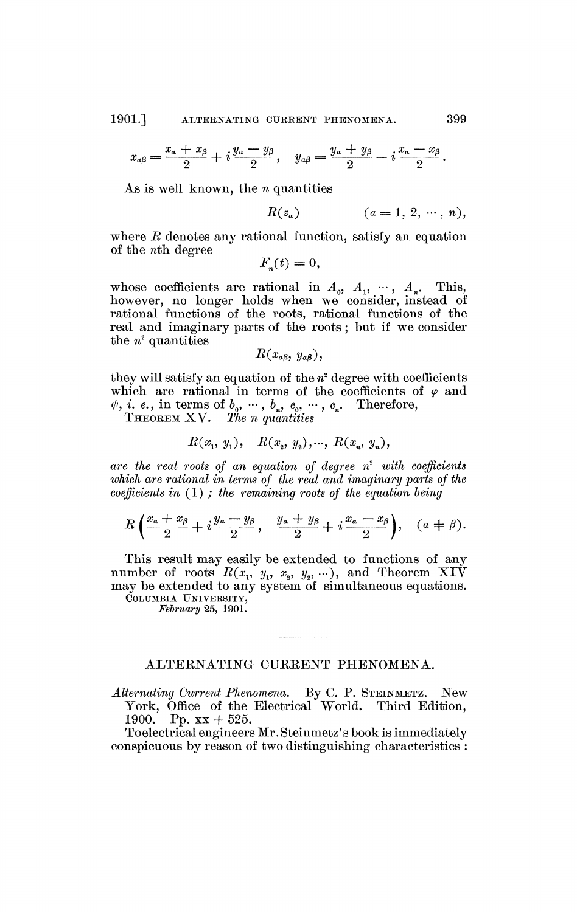1901.] ALTERNATING CURRENT PHENOMENA. 399

$$
x_{\alpha\beta}=\frac{x_{\alpha}+x_{\beta}}{2}+i\frac{y_{\alpha}-y_{\beta}}{2}, \quad y_{\alpha\beta}=\frac{y_{\alpha}+y_{\beta}}{2}-i\frac{x_{\alpha}-x_{\beta}}{2}.
$$

As is well known, the *n* quantities

$$
R(z_a) \qquad (a=1, 2, \cdots, n),
$$

where  $R$  denotes any rational function, satisfy an equation of the *nth.* degree

$$
F_n(t) = 0,
$$

whose coefficients are rational in  $A_0$ ,  $A_1$ ,  $\cdots$ ,  $A_n$ . This, however, no longer holds when we consider, instead of rational functions of the roots, rational functions of the real and imaginary parts of the roots ; but if we consider the  $n^2$  quantities

$$
R(x_{a\beta}, y_{a\beta}),
$$

they will satisfy an equation of the  $n^2$  degree with coefficients which are rational in terms of the coefficients of  $\varphi$  and  $\psi$ , *i. e.*, in terms of  $b_0$ ,  $\dots$ ,  $b_n$ ,  $c_0$ ,  $\dots$ ,  $c_n$ . Therefore,

THEOREM XV. *The n quantities* 

$$
R(x_1, y_1), \quad R(x_2, y_2), \dots, \ R(x_n, y_n),
$$

*are the real roots of an equation of degree n 2 with coefficients which are rational in terms of the real and imaginary parts of the coefficients in* (1) ; *the remaining roots of the equation being* 

$$
R\left(\frac{x_{\alpha}+x_{\beta}}{2}+i\frac{y_{\alpha}-y_{\beta}}{2}, \frac{y_{\alpha}+y_{\beta}}{2}+i\frac{x_{\alpha}-x_{\beta}}{2}\right), \quad (a \neq \beta).
$$

This result may easily be extended to functions of any number of roots  $R(x_1, y_1, x_2, y_2, \ldots)$ , and Theorem XIV may be extended to any system of simultaneous equations.

COLUMBIA UNIVERSITY, *February* 25, 1901.

## ALTERNATING CURRENT PHENOMENA.

Alternating Current Phenomena. By C. P. STEINMETZ. New York, Office of the Electrical"World. Third Edition, 1900. Pp.  $xx + 525$ .

Toelectrical engineers Mr. Steinmetz's book is immediately conspicuous by reason of two distinguishing characteristics :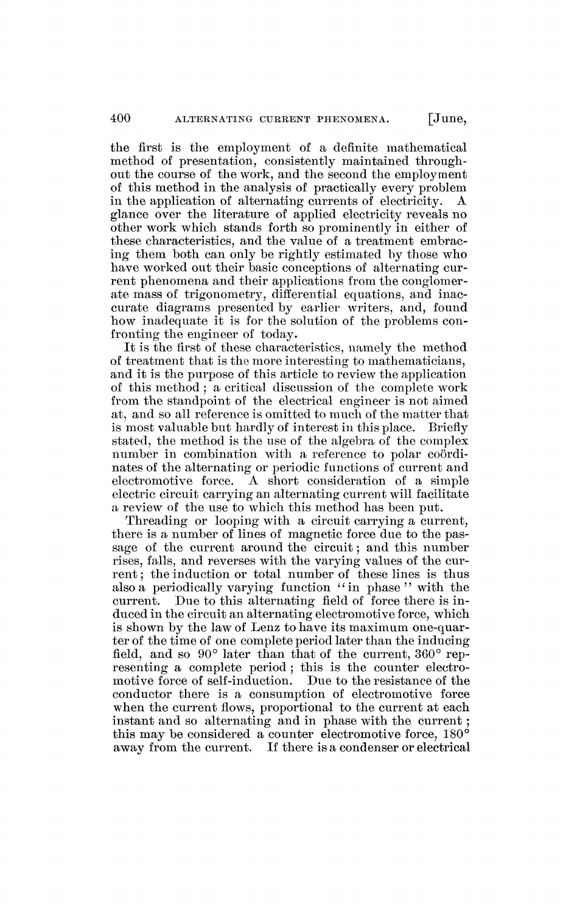the first is the employment of a definite mathematical method of presentation, consistently maintained throughout the course of the work, and the second the employment of this method in the analysis of practically every problem in the application of alternating currents of electricity. A glance over the literature of applied electricity reveals no other work which stands forth so prominently in either of these characteristics, and the value of a treatment embracing them both can only be rightly estimated by those who have worked out their basic conceptions of alternating current phenomena and their applications from the conglomerate mass of trigonometry, differential equations, and inaccurate diagrams presented by earlier writers, and, found how inadequate it is for the solution of the problems confronting the engineer of today.

It is the first of these characteristics, namely the method of treatment that is the more interesting to mathematicians, and it is the purpose of this article to review the application of this method ; a critical discussion of the complete work from the standpoint of the electrical engineer is not aimed at, and so all reference is omitted to much of the matter that is most valuable but hardly of interest in this place. Briefly stated, the method is the use of the algebra of the complex number in combination with a reference to polar coordinates of the alternating or periodic functions of current and electromotive force. A short consideration of a simple electric circuit carrying an alternating current will facilitate a review of the use to which this method has been put.

Threading or looping with a circuit carrying a current, there is a number of lines of magnetic force due to the passage of the current around the circuit ; and this number rises, falls, and reverses with the varying values of the current; the induction or total number of these lines is thus also a periodically varying function "in phase" with the current. Due to this alternating field of force there is induced in the circuit an alternating electromotive force, which is shown by the law of Lenz to have its maximum one-quarter of the time of one complete period later than the inducing field, and so 90° later than that of the current, 360° representing a complete period ; this is the counter electromotive force of self-induction. Due to the resistance of the conductor there is a consumption of electromotive force when the current flows, proportional to the current at each instant and so alternating and in phase with the current ; this may be considered a counter electromotive force, 180° away from the current. If there is a condenser or electrical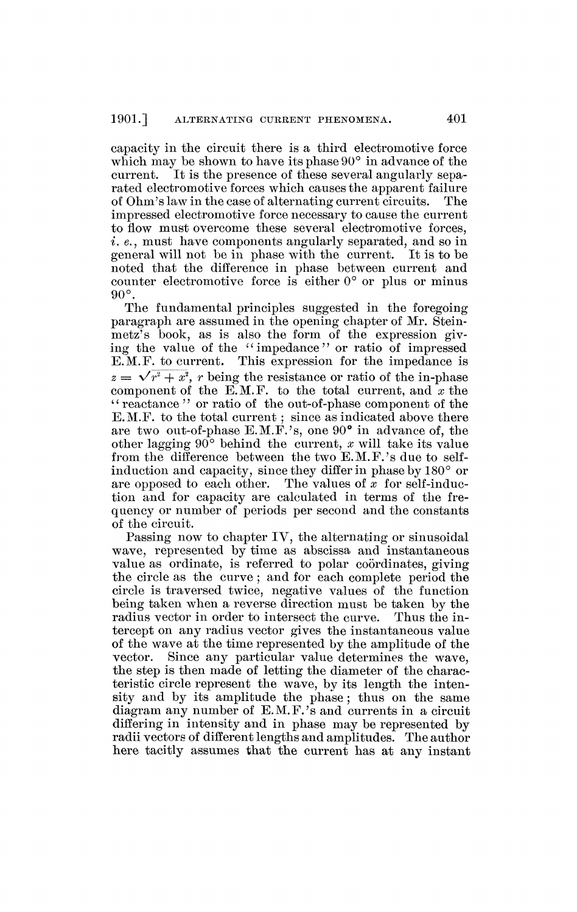capacity in the circuit there is a third electromotive force which may be shown to have its phase 90° in advance of the current. It is the presence of these several angularly separated electromotive forces which causes the apparent failure<br>of Ohm's law in the case of alternating current circuits. The of Ohm's law in the case of alternating current circuits. impressed electromotive force necessary to cause the current to flow must overcome these several electromotive forces, *i. e.,* must have components angularly separated, and so in general will not be in phase with the current. It is to be noted that the difference in phase between current and counter electromotive force is either 0° or plus or minus 90°.

The fundamental principles suggested in the foregoing paragraph are assumed in the opening chapter of Mr. Steinmetz's book, as is also the form of the expression giving the value of the "impedance" or ratio of impressed E.M.F. to current. This expression for the impedance is  $z = \sqrt{r^2 + x^2}$ , *r* being the resistance or ratio of the in-phase component of the E.M.F. to the total current, and  $x$  the  $\alpha$  reactance '' or ratio of the out-of-phase component of the E.M.F. to the total current ; since as indicated above there are two out-of-phase E.M.F.'s, one 90° in advance of, the other lagging 90° behind the current, *x* will take its value from the difference between the two  $E.M.F.'s$  due to selfinduction and capacity, since they differ in phase by 180° or are opposed to each other. The values of *x* for self-induction and for capacity are calculated in terms of the frequency or number of periods per second and the constants of the circuit.

Passing now to chapter IV, the alternating or sinusoidal wave, represented by time as abscissa and instantaneous value as ordinate, is referred to polar coordinates, giving the circle as the curve ; and for each complete period the circle is traversed twice, negative values of the function being taken when a reverse direction must be taken by the radius vector in order to intersect the curve. Thus the intercept on any radius vector gives the instantaneous value of the wave at the time represented by the amplitude of the vector. Since any particular value determines the wave, the step is then made of letting the diameter of the characteristic circle represent the wave, by its length the intensity and by its amplitude the phase ; thus on the same diagram any number of E.M.F.'s and currents in a circuit differing in intensity and in phase may be represented by radii vectors of different lengths and amplitudes. The author here tacitly assumes that the current has at any instant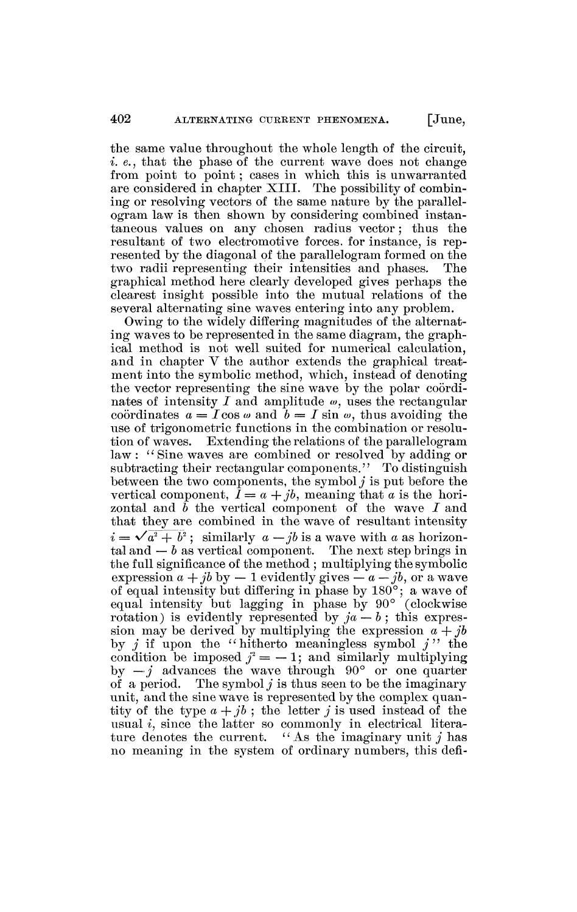the same value throughout the whole length of the circuit, *i. e.*, that the phase of the current wave does not change from point to point ; cases in which this is unwarranted are considered in chapter XIII. The possibility of combining or resolving vectors of the same nature by the parallelogram law is then shown by considering combined instantaneous values on any chosen radius vector ; thus the resultant of two electromotive forces, for instance, is represented by the diagonal of the parallelogram formed on the two radii representing their intensities and phases. The graphical method here clearly developed gives perhaps the clearest insight possible into the mutual relations of the several alternating sine waves entering into any problem.

Owing to the widely differing magnitudes of the alternating waves to be represented in the same diagram, the graphical method is not well suited for numerical calculation, and in chapter Y the author extends the graphical treatment into the symbolic method, which, instead of denoting the vector representing the sine wave by the polar coordinates of intensity *I* and amplitude *w,* uses the rectangular coordinates  $a = I \cos \omega$  and  $b = I \sin \omega$ , thus avoiding the use of trigonometric functions in the combination or resolution of waves. Extending the relations of the parallelogram law : *'*<sup>s</sup> Sine waves are combined or resolved by adding or subtracting their rectangular components." To distinguish between the two components, the symbol *j* is put before the vertical component,  $\hat{I} = a + jb$ , meaning that *a* is the horizontal and *b* the vertical component of the wave *I* and that they are combined in the wave of resultant intensity  $i = \sqrt{a^2 + b^2}$ ; similarly  $a - ib$  is a wave with a as horizontal and  $-b$  as vertical component. The next step brings in the full significance of the method ; multiplying the symbolic expression  $a + ib$  by  $-1$  evidently gives  $-a - ib$ , or a wave of equal intensity but differing in phase by  $180^{\circ}$ ; a wave of equal intensity but lagging in phase by  $90^{\circ}$  (clockwise rotation) is evidently represented by  $ja - b$ ; this expression may be derived by multiplying the expression  $a + jb$ by *j* if upon the "hitherto meaningless symbol *j*" the condition be imposed  $j^2 = -1$ ; and similarly multiplying by  $-j$  advances the wave through  $90^{\circ}$  or one quarter of a period. The symbol *j* is thus seen to be the imaginary unit, and the sine wave is represented by the complex quantity of the type  $a + jb$ ; the letter *j* is used instead of the usual *i,* since the latter so commonly in electrical literature denotes the current. *<sup>u</sup>* As the imaginary unit *j* has no meaning in the system of ordinary numbers, this defi-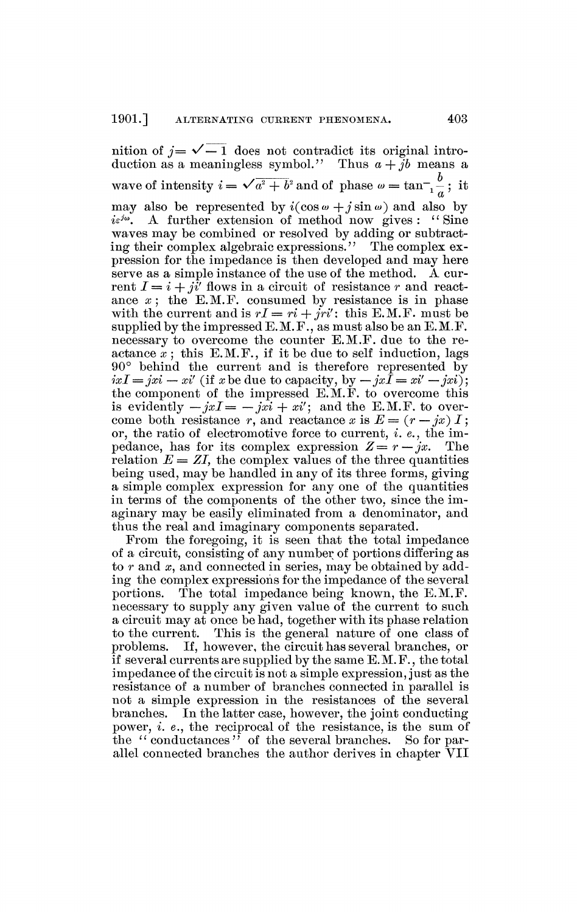nition of  $j = \sqrt{-1}$  does not contradict its original introduction as a meaningless symbol." Thus  $a + jb$  means a wave of intensity  $i = \sqrt{a^2 + b^2}$  and of phase  $\omega = \tan^{-1} \frac{b}{a}$ ; it may also be represented by  $i(\cos \omega + j \sin \omega)$  and also by  $i\varepsilon^{j\omega}$ . . A further extension of method now gives : "Sine waves may be combined or resolved by adding or subtracting their complex algebraic expressions." The complex expression for the impedance is then developed and may here serve as a simple instance of the use of the method. A current  $I = i + ji'$  flows in a circuit of resistance r and reactance  $x$ ; the E.M.F. consumed by resistance is in phase with the current and is  $rI = ri + jri'$ ; this E.M.F. must be supplied by the impressed E.M.F., as must also be an E.M.F. necessary to overcome the counter E.M.F. due to the reactance  $\dot{x}$ ; this E.M.F., if it be due to self induction, lags 90° behind the current and is therefore represented by  $ixI = jxi - xi'$  (if *x* be due to capacity, by  $-jx\overline{I} = xi' - jxi'$ ); the component of the impressed E.M.F. to overcome this is evidently  $-jxI = -jx\hat{i} + x\hat{i}$ ; and the E.M.F. to overcome both resistance r, and reactance x is  $E = (r - jx) I;$ or, the ratio of electromotive force to current, *i. e.,* the impedance, has for its complex expression  $Z = r - jx$ . The relation  $E = ZI$ , the complex values of the three quantities being used, may be handled in any of its three forms, giving a simple complex expression for any one of the quantities in terms of the components of the other two, since the imaginary may be easily eliminated from a denominator, and thus the real and imaginary components separated.

From the foregoing, it is seen that the total impedance of a circuit, consisting of any number of portions differing as to *r* and *x,* and connected in series, may be obtained by adding the complex expressions for the impedance of the several portions. The total impedance being known, the E.M.F. necessary to supply any given value of the current to such a circuit may at once be had, together with its phase relation to the current. This is the general nature of one class of problems. If, however, the circuit has several branches, or if several currents are supplied by the same E. M. F., the total impedance of the circuit is not a simple expression, just as the resistance of a number of branches connected in parallel is not a simple expression in the resistances of the several branches. In the latter case, however, the joint conducting power, *i. e.,* the reciprocal of the resistance, is the sum of the "conductances" of the several branches. So for parallel connected branches the author derives in chapter VII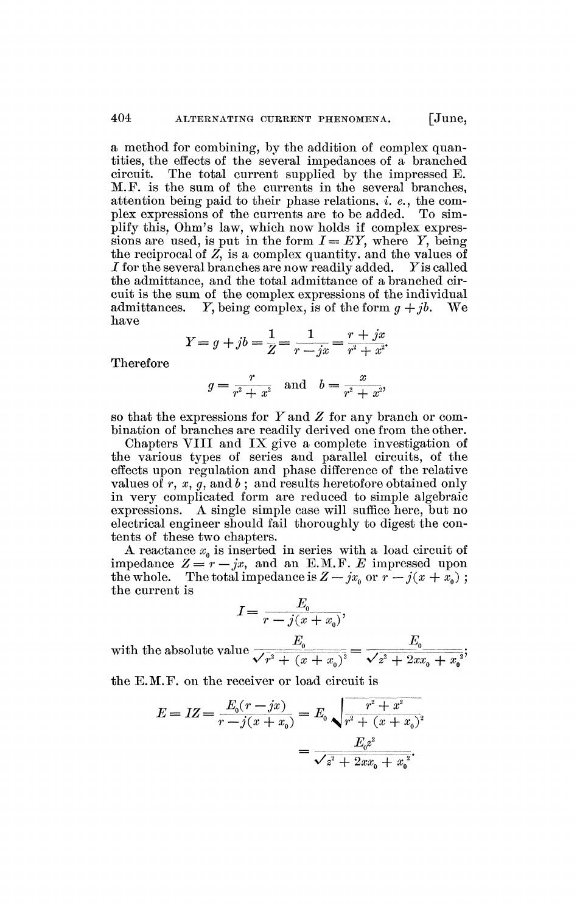a method for combining, by the addition of complex quantities, the effects of the several impedances of a branched The total current supplied by the impressed E. M.F. is the sum of the currents in the several branches, attention being paid to their phase relations, *i. e.*, the complex expressions of the currents are to be added. To simplify this, Ohm's law, which now holds if complex expressions are used, is put in the form  $I = EY$ , where Y, being the reciprocal of *Z,* is a complex quantity, and the values of  $I$  for the several branches are now readily added. Y is called the admittance, and the total admittance of a branched circuit is the sum of the complex expressions of the individual admittances. *Y*, being complex, is of the form  $q + jb$ . We have

$$
Y = g + jb = \frac{1}{Z} = \frac{1}{r - jx} = \frac{r + jx}{r^2 + x^2}.
$$

Therefore

$$
g = \frac{r}{r^2 + x^2}
$$
 and  $b = \frac{x}{r^2 + x^2}$ 

so that the expressions for F and *Z* for any branch or combination of branches are readily derived one from the other.

Chapters VIII and IX give a complete investigation of the various types of series and parallel circuits, of the effects upon regulation and phase difference of the relative values of  $r, x, g$ , and  $b$ ; and results heretofore obtained only in very complicated form are reduced to simple algebraic expressions. A single simple case will suffice here, but no electrical engineer should fail thoroughly to digest the contents of these two chapters.

A reactance  $x<sub>0</sub>$  is inserted in series with a load circuit of impedance  $Z = r - jx$ , and an E.M.F. E impressed upon the whole. The total impedance is  $Z - jx_0$  or  $r - j(x + \bar{x}_0)$ ; the current is

$$
I = \frac{E_0}{r - j(x + x_0)},
$$

 $\frac{E_0}{\sqrt{2\pi i^2 + 2\epsilon^2}} = \frac{E_0}{\sqrt{2\pi i^2 + 2\epsilon^2}}$  $\mathbf{v} \cdot \mathbf{v} + (x + x_0) \quad \mathbf{v} \cdot \mathbf{v} + 2x x_0 + x_0$ with the absolute value

the E.M.F. on the receiver or load circuit is

$$
E = IZ = \frac{E_0(r - jx)}{r - j(x + x_0)} = E_0 \sqrt{\frac{r^2 + x^2}{r^2 + (x + x_0)^2}}
$$

$$
= \frac{E_0 z^2}{\sqrt{z^2 + 2xx_0 + x_0^2}}.
$$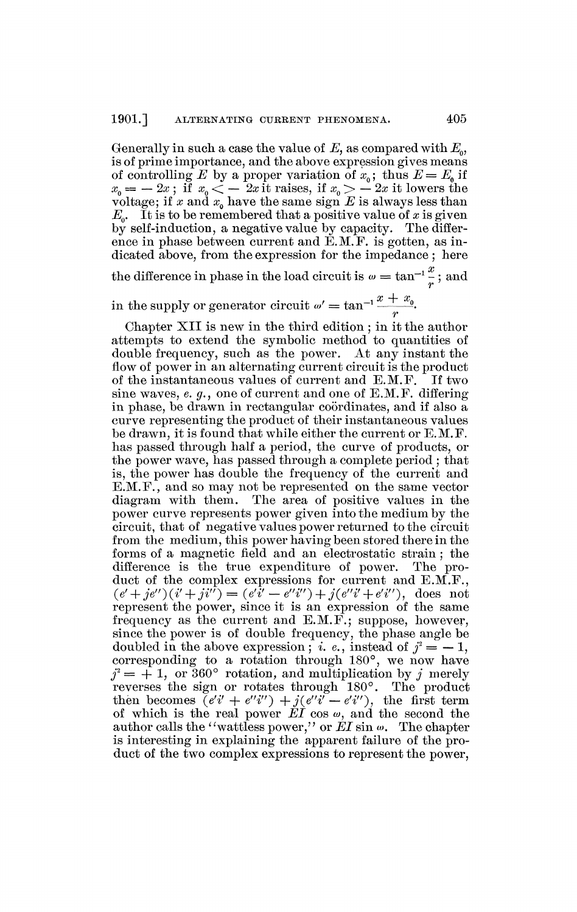Generally in such a case the value of *E,* as compared with *E0,*  is of prime importance, and the above expression gives means of controlling E by a proper variation of  $x_0$ ; thus  $E = E_0$  if  $x_0 = -2x$ ; if  $x_0 < -2x$  it raises, if  $x_0 > -2x$  it lowers the voltage; if x and  $x<sub>o</sub>$  have the same sign  $E$  is always less than  $E_o$ . It is to be remembered that a positive value of *x* is given<br>by self-induction, a negative value by capacity. The differby self-induction, a negative value by capacity. ence in phase between current and E.M.F. is gotten, as indicated above, from the expression for the impedance ; here the difference in phase in the load circuit is  $\omega = \tan^{-1} \frac{x}{z}$ ; and *r* 

in the supply or generator circuit  $\omega' = \tan^{-1} \frac{x + x_0}{x}$ .

Chapter XII is new in the third edition ; in it the author attempts to extend the symbolic method to quantities of double frequency, such as the power. At any instant the flow of power in an alternating current circuit is the product of the instantaneous values of current and E.M.F. If two sine waves, *e. g.,* one of current and one of E.M.F. differing in phase, be drawn in rectangular coordinates, and if also a curve representing the product of their instantaneous values be drawn, it is found that while either the current or E.M.F. has passed through half a period, the curve of products, or the power wave, has passed through a complete period ; that is, the power has double the frequency of the current and E.M.F., and so may not be represented on the same vector diagram with them. The area of positive values in the power curve represents power given into the medium by the circuit, that of negative values power returned to the circuit from the medium, this power having been stored there in the forms of a magnetic field and an electrostatic strain ; the difference is the true expenditure of power. The product of the complex expressions for current and E.M.F.,  $(e' + je'')(i' + ji'') = (e'\overline{i}' - e''i'') + j(e''i' + e'i'')$ , does not represent the power, since it is an expression of the same frequency as the current and E.M.F.; suppose, however, since the power is of double frequency, the phase angle be doubled in the above expression; *i. e.*, instead of  $j^2 = -1$ , corresponding to a rotation through 180°, we now have  $j^2 = +1$ , or 360° rotation, and multiplication by j merely reverses the sign or rotates through 180°. The product then becomes  $(e'i' + e''i'') + j(e''i' - e'i'')$ , the first term of which is the real power  $E\hat{I}$  cos  $\omega$ , and the second the author calls the ''wattless power,'' or  $EI$  sin  $\omega$ . The chapter is interesting in explaining the apparent failure of the product of the two complex expressions to represent the power,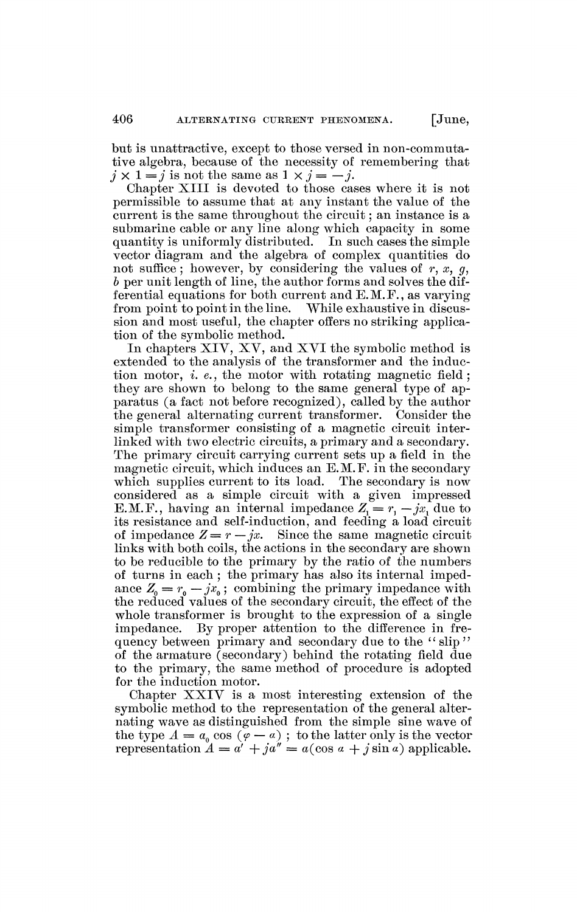but is unattractive, except to those versed in non-commutative algebra, because of the necessity of remembering that  $j \times 1 = j$  is not the same as  $1 \times j = -j$ .

Chapter XIII is devoted to those cases where it is not permissible to assume that at any instant the value of the current is the same throughout the circuit ; an instance is a submarine cable or any line along which capacity in some quantity is uniformly distributed. In such cases the simple vector diagram and the algebra of complex quantities do not suffice; however, by considering the values of r, x, g, *b* per unit length of line, the author forms and solves the differential equations for both current and E.M.F., as varying from point to point in the line. While exhaustive in discussion and most useful, the chapter offers no striking application of the symbolic method.

In chapters XIV, XV, and XVI the symbolic method is extended to the analysis of the transformer and the induction motor, *i. e.*, the motor with rotating magnetic field ; they are shown to belong to the same general type of apparatus (a fact not before recognized), called by the author the general alternating current transformer. Consider the simple transformer consisting of a magnetic circuit interlinked with two electric circuits, a primary and a secondary. The primary circuit carrying current sets up a field in the magnetic circuit, which induces an E.M.F. in the secondary which supplies current to its load. The secondary is now considered as a simple circuit with a given impressed E.M.F., having an internal impedance  $Z_1 = r_1 - jx_1$  due to its resistance and self-induction, and feeding a load circuit of impedance  $Z = r - jx$ . Since the same magnetic circuit links with both coils, the actions in the secondary are shown to be reducible to the primary by the ratio of the numbers of turns in each ; the primary has also its internal impedance  $Z_0 = r_0 - jx_0$ ; combining the primary impedance with the reduced values of the secondary circuit, the effect of the whole transformer is brought to the expression of a single impedance. By proper attention to the difference in frequency between primary and secondary due to the *"* slip " of the armature (secondary) behind the rotating field due to the primary, the same method of procedure is adopted for the induction motor.

Chapter XXIV is a most interesting extension of the symbolic method to the representation of the general alternating wave as distinguished from the simple sine wave of the type  $A = a_0 \cos (\varphi - a)$ ; to the latter only is the vector representation  $A = a' + ja'' = a(\cos a + j \sin a)$  applicable.